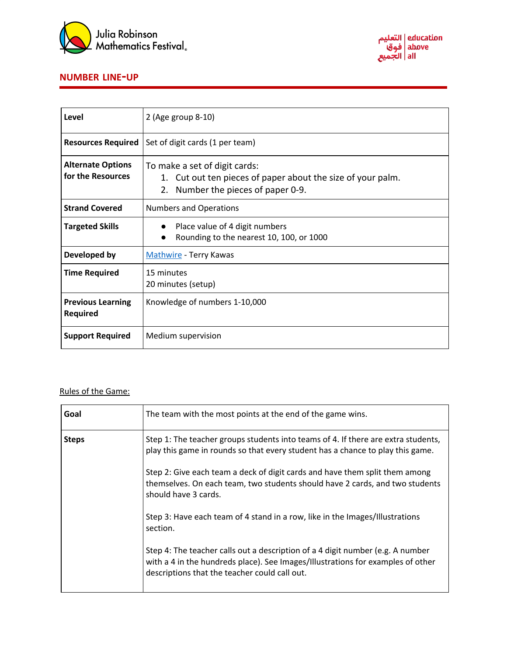



## **NUMBER LINE-UP**

| Level                                         | 2 (Age group 8-10)                                                                                                                    |
|-----------------------------------------------|---------------------------------------------------------------------------------------------------------------------------------------|
| <b>Resources Required</b>                     | Set of digit cards (1 per team)                                                                                                       |
| <b>Alternate Options</b><br>for the Resources | To make a set of digit cards:<br>1. Cut out ten pieces of paper about the size of your palm.<br>Number the pieces of paper 0-9.<br>2. |
| <b>Strand Covered</b>                         | <b>Numbers and Operations</b>                                                                                                         |
| <b>Targeted Skills</b>                        | Place value of 4 digit numbers<br>Rounding to the nearest 10, 100, or 1000                                                            |
| Developed by                                  | Mathwire - Terry Kawas                                                                                                                |
| <b>Time Required</b>                          | 15 minutes<br>20 minutes (setup)                                                                                                      |
| <b>Previous Learning</b><br>Required          | Knowledge of numbers 1-10,000                                                                                                         |
| <b>Support Required</b>                       | Medium supervision                                                                                                                    |

## Rules of the Game:

| Goal         | The team with the most points at the end of the game wins.                                                                                                                                                         |
|--------------|--------------------------------------------------------------------------------------------------------------------------------------------------------------------------------------------------------------------|
| <b>Steps</b> | Step 1: The teacher groups students into teams of 4. If there are extra students,<br>play this game in rounds so that every student has a chance to play this game.                                                |
|              | Step 2: Give each team a deck of digit cards and have them split them among<br>themselves. On each team, two students should have 2 cards, and two students<br>should have 3 cards.                                |
|              | Step 3: Have each team of 4 stand in a row, like in the Images/Illustrations<br>section.                                                                                                                           |
|              | Step 4: The teacher calls out a description of a 4 digit number (e.g. A number<br>with a 4 in the hundreds place). See Images/Illustrations for examples of other<br>descriptions that the teacher could call out. |